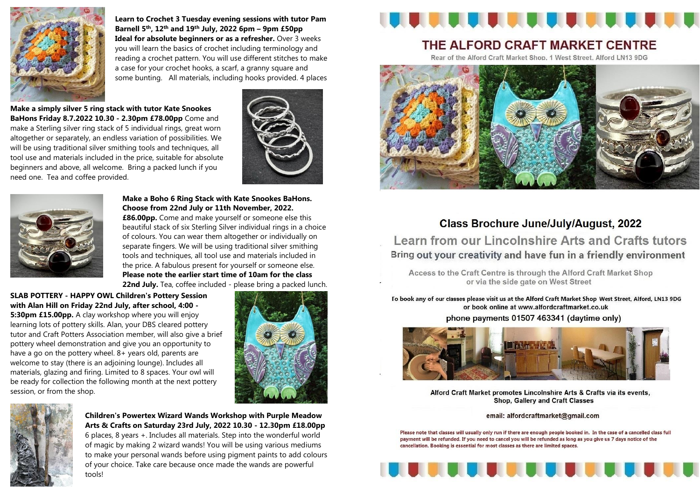

**Learn to Crochet 3 Tuesday evening sessions with tutor Pam Barnell 5th, 12th and 19th July, 2022 6pm – 9pm £50pp Ideal for absolute beginners or as a refresher.** Over 3 weeks you will learn the basics of crochet including terminology and reading a crochet pattern. You will use different stitches to make a case for your crochet hooks, a scarf, a granny square and some bunting. All materials, including hooks provided. 4 places

 **Make a simply silver 5 ring stack with tutor Kate Snookes BaHons Friday 8.7.2022 10.30 - 2.30pm £78.00pp** Come and

make a Sterling silver ring stack of 5 individual rings, great worn altogether or separately, an endless variation of possibilities. We will be using traditional silver smithing tools and techniques, all tool use and materials included in the price, suitable for absolute beginners and above, all welcome. Bring a packed lunch if you need one. Tea and coffee provided.





**Make a Boho 6 Ring Stack with Kate Snookes BaHons. Choose from 22nd July or 11th November, 2022. £86.00pp.** Come and make yourself or someone else this beautiful stack of six Sterling Silver individual rings in a choice of colours. You can wear them altogether or individually on separate fingers. We will be using traditional silver smithing tools and techniques, all tool use and materials included in the price. A fabulous present for yourself or someone else. **Please note the earlier start time of 10am for the class 22nd July.** Tea, coffee included - please bring a packed lunch.

**SLAB POTTERY - HAPPY OWL Children's Pottery Session with Alan Hill on Friday 22nd July, after school, 4:00 - 5:30pm £15.00pp.** A clay workshop where you will enjoy learning lots of pottery skills. Alan, your DBS cleared pottery tutor and Craft Potters Association member, will also give a brief pottery wheel demonstration and give you an opportunity to have a go on the pottery wheel. 8+ years old, parents are welcome to stay (there is an adjoining lounge). Includes all materials, glazing and firing. Limited to 8 spaces. Your owl will be ready for collection the following month at the next pottery session, or from the shop.





**Children's Powertex Wizard Wands Workshop with Purple Meadow Arts & Crafts on Saturday 23rd July, 2022 10.30 - 12.30pm £18.00pp**  6 places, 8 years +. Includes all materials. Step into the wonderful world of magic by making 2 wizard wands! You will be using various mediums to make your personal wands before using pigment paints to add colours of your choice. Take care because once made the wands are powerful tools!



## THE ALFORD CRAFT MARKET CENTRE

Rear of the Alford Craft Market Shop, 1 West Street, Alford LN13 9DG



## **Class Brochure June/July/August, 2022**

Learn from our Lincolnshire Arts and Crafts tutors Bring out your creativity and have fun in a friendly environment

Access to the Craft Centre is through the Alford Craft Market Shop or via the side gate on West Street

To book any of our classes please visit us at the Alford Craft Market Shop West Street, Alford, LN13 9DG or book online at www.alfordcraftmarket.co.uk phone payments 01507 463341 (daytime only)



Alford Craft Market promotes Lincolnshire Arts & Crafts via its events, **Shop, Gallery and Craft Classes** 

email: alfordcraftmarket@gmail.com

Please note that classes will usually only run if there are enough people booked in. In the case of a cancelled class full payment will be refunded. If you need to cancel you will be refunded as long as you give us 7 days notice of the cancellation. Booking is essential for most classes as there are limited spaces.